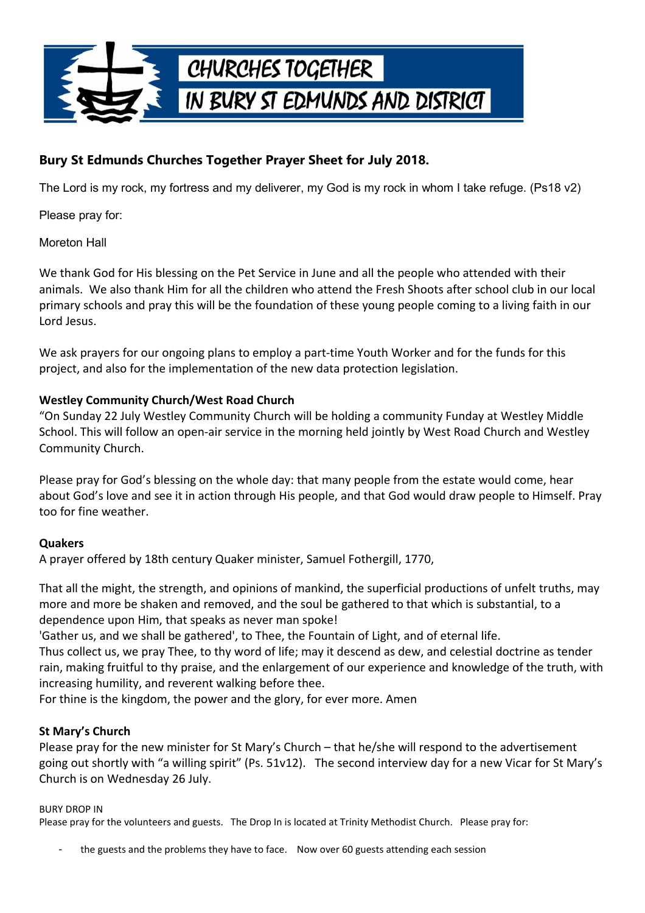

# **Bury St Edmunds Churches Together Prayer Sheet for July 2018.**

The Lord is my rock, my fortress and my deliverer, my God is my rock in whom I take refuge. (Ps18 v2)

Please pray for:

Moreton Hall

We thank God for His blessing on the Pet Service in June and all the people who attended with their animals. We also thank Him for all the children who attend the Fresh Shoots after school club in our local primary schools and pray this will be the foundation of these young people coming to a living faith in our Lord Jesus.

We ask prayers for our ongoing plans to employ a part-time Youth Worker and for the funds for this project, and also for the implementation of the new data protection legislation.

### **Westley Community Church/West Road Church**

"On Sunday 22 July Westley Community Church will be holding a community Funday at Westley Middle School. This will follow an open-air service in the morning held jointly by West Road Church and Westley Community Church.

Please pray for God's blessing on the whole day: that many people from the estate would come, hear about God's love and see it in action through His people, and that God would draw people to Himself. Pray too for fine weather.

# **Quakers**

A prayer offered by 18th century Quaker minister, Samuel Fothergill, 1770,

That all the might, the strength, and opinions of mankind, the superficial productions of unfelt truths, may more and more be shaken and removed, and the soul be gathered to that which is substantial, to a dependence upon Him, that speaks as never man spoke!

'Gather us, and we shall be gathered', to Thee, the Fountain of Light, and of eternal life.

Thus collect us, we pray Thee, to thy word of life; may it descend as dew, and celestial doctrine as tender rain, making fruitful to thy praise, and the enlargement of our experience and knowledge of the truth, with increasing humility, and reverent walking before thee.

For thine is the kingdom, the power and the glory, for ever more. Amen

# **St Mary's Church**

Please pray for the new minister for St Mary's Church – that he/she will respond to the advertisement going out shortly with "a willing spirit" (Ps. 51v12). The second interview day for a new Vicar for St Mary's Church is on Wednesday 26 July.

#### BURY DROP IN

Please pray for the volunteers and guests. The Drop In is located at Trinity Methodist Church. Please pray for:

the guests and the problems they have to face. Now over 60 guests attending each session